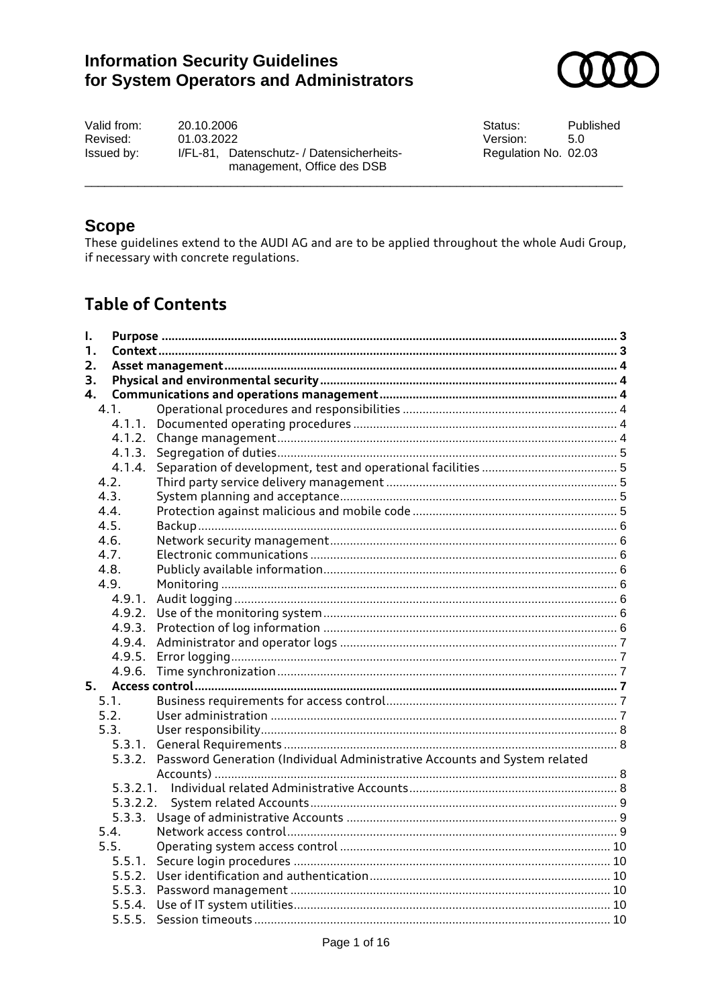# **Information Security Guidelines** for System Operators and Administrators



Valid from: 20.10.2006 Revised: 01.03.2022 Issued by: I/FL-81, Datenschutz- / Datensicherheitsmanagement, Office des DSB

Status: Published Version:  $5.0$ Regulation No. 02.03

### **Scope**

These quidelines extend to the AUDI AG and are to be applied throughout the whole Audi Group, if necessary with concrete regulations.

# **Table of Contents**

| I. |          |                                                                                   |  |  |  |
|----|----------|-----------------------------------------------------------------------------------|--|--|--|
| 1. |          |                                                                                   |  |  |  |
| 2. |          |                                                                                   |  |  |  |
| З. |          |                                                                                   |  |  |  |
| 4. |          |                                                                                   |  |  |  |
|    | 4.1.     |                                                                                   |  |  |  |
|    |          |                                                                                   |  |  |  |
|    |          |                                                                                   |  |  |  |
|    |          |                                                                                   |  |  |  |
|    | 4.1.4.   |                                                                                   |  |  |  |
|    | 4.2.     |                                                                                   |  |  |  |
|    | 4.3.     |                                                                                   |  |  |  |
|    | 4.4.     |                                                                                   |  |  |  |
|    | 4.5.     |                                                                                   |  |  |  |
|    | 4.6.     |                                                                                   |  |  |  |
|    | 4.7.     |                                                                                   |  |  |  |
|    | 4.8.     |                                                                                   |  |  |  |
|    | 4.9.     |                                                                                   |  |  |  |
|    | 4.9.1.   |                                                                                   |  |  |  |
|    |          |                                                                                   |  |  |  |
|    |          |                                                                                   |  |  |  |
|    |          |                                                                                   |  |  |  |
|    |          |                                                                                   |  |  |  |
|    |          |                                                                                   |  |  |  |
| 5. |          |                                                                                   |  |  |  |
|    | 5.1.     |                                                                                   |  |  |  |
|    | 5.2.     |                                                                                   |  |  |  |
|    | 5.3.     |                                                                                   |  |  |  |
|    |          |                                                                                   |  |  |  |
|    |          | 5.3.2. Password Generation (Individual Administrative Accounts and System related |  |  |  |
|    |          |                                                                                   |  |  |  |
|    |          |                                                                                   |  |  |  |
|    | 5.3.2.2. |                                                                                   |  |  |  |
|    |          |                                                                                   |  |  |  |
|    | 5.4.     |                                                                                   |  |  |  |
|    | 5.5.     |                                                                                   |  |  |  |
|    |          |                                                                                   |  |  |  |
|    |          |                                                                                   |  |  |  |
|    |          |                                                                                   |  |  |  |
|    |          |                                                                                   |  |  |  |
|    |          |                                                                                   |  |  |  |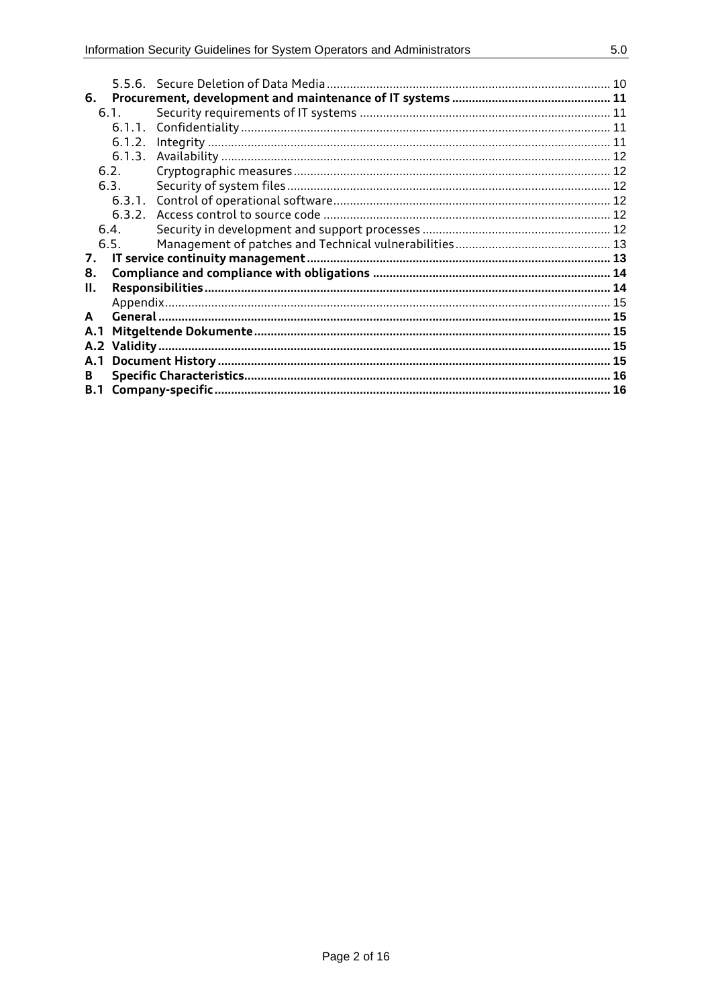| 6.         |        |  |  |  |
|------------|--------|--|--|--|
|            | 61     |  |  |  |
|            | 6.1.1. |  |  |  |
|            | 6.1.2. |  |  |  |
|            | 6.1.3. |  |  |  |
|            | 6.2.   |  |  |  |
|            | 6.3.   |  |  |  |
|            |        |  |  |  |
|            | 6.3.2. |  |  |  |
| 6.4.       |        |  |  |  |
|            | 6.5.   |  |  |  |
| 7.         |        |  |  |  |
| 8.         |        |  |  |  |
| н.         |        |  |  |  |
|            |        |  |  |  |
| A          |        |  |  |  |
| A.1        |        |  |  |  |
| A.2        |        |  |  |  |
| A.1        |        |  |  |  |
| В          |        |  |  |  |
| <b>B.1</b> |        |  |  |  |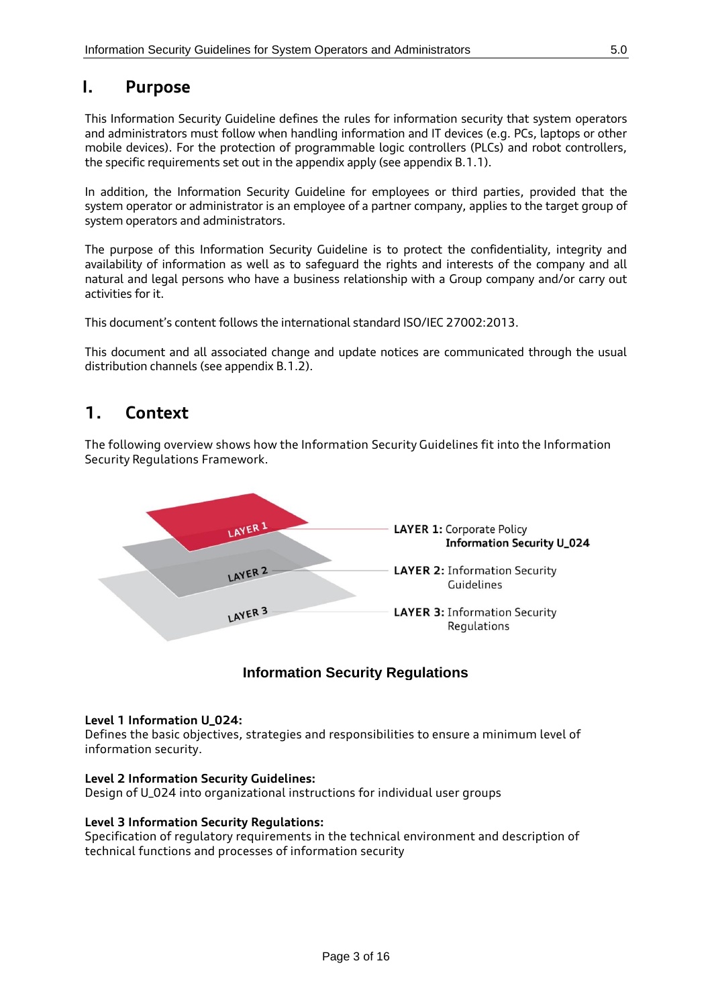### <span id="page-2-0"></span>**I. Purpose**

This Information Security Guideline defines the rules for information security that system operators and administrators must follow when handling information and IT devices (e.g. PCs, laptops or other mobile devices). For the protection of programmable logic controllers (PLCs) and robot controllers, the specific requirements set out in the appendix apply (see appendix B.1.1).

In addition, the Information Security Guideline for employees or third parties, provided that the system operator or administrator is an employee of a partner company, applies to the target group of system operators and administrators.

The purpose of this Information Security Guideline is to protect the confidentiality, integrity and availability of information as well as to safeguard the rights and interests of the company and all natural and legal persons who have a business relationship with a Group company and/or carry out activities for it.

This document's content follows the international standard ISO/IEC 27002:2013.

<span id="page-2-1"></span>This document and all associated change and update notices are communicated through the usual distribution channels (see appendix B.1.2).

## **1. Context**

The following overview shows how the Information Security Guidelines fit into the Information Security Regulations Framework.



### **Information Security Regulations**

### **Level 1 Information U\_024:**

Defines the basic objectives, strategies and responsibilities to ensure a minimum level of information security.

#### **Level 2 Information Security Guidelines:**

Design of U\_024 into organizational instructions for individual user groups

#### **Level 3 Information Security Regulations:**

Specification of regulatory requirements in the technical environment and description of technical functions and processes of information security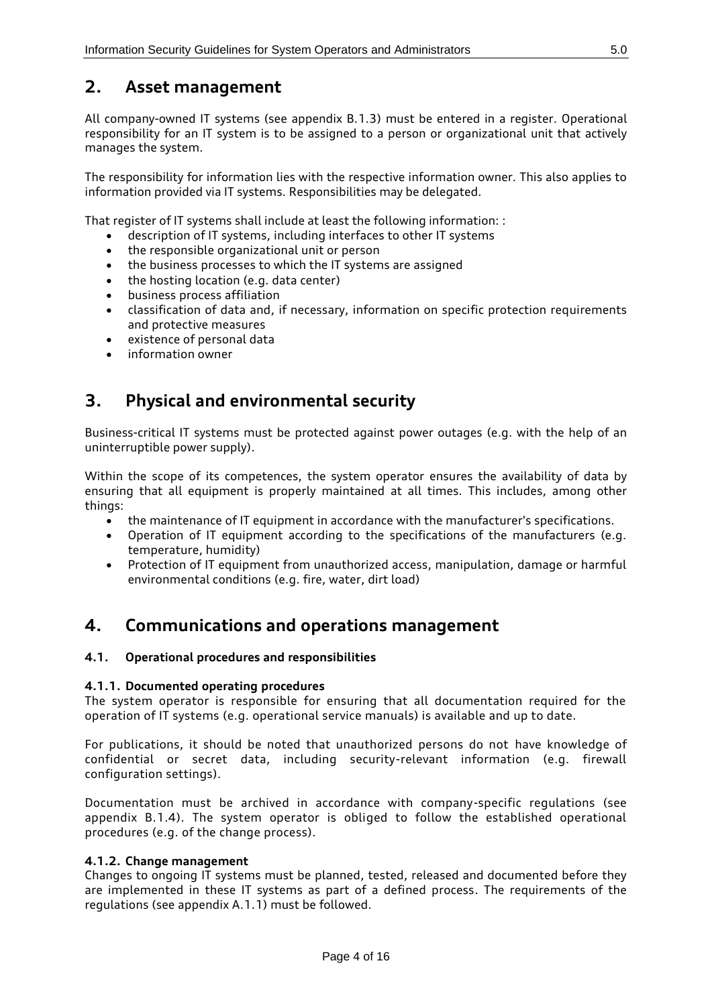## <span id="page-3-0"></span>**2. Asset management**

All company-owned IT systems (see appendix B.1.3) must be entered in a register. Operational responsibility for an IT system is to be assigned to a person or organizational unit that actively manages the system.

The responsibility for information lies with the respective information owner. This also applies to information provided via IT systems. Responsibilities may be delegated.

That register of IT systems shall include at least the following information: :

- description of IT systems, including interfaces to other IT systems
- the responsible organizational unit or person
- the business processes to which the IT systems are assigned
- the hosting location (e.g. data center)
- business process affiliation
- classification of data and, if necessary, information on specific protection requirements and protective measures
- existence of personal data
- <span id="page-3-1"></span>• information owner

## **3. Physical and environmental security**

Business-critical IT systems must be protected against power outages (e.g. with the help of an uninterruptible power supply).

Within the scope of its competences, the system operator ensures the availability of data by ensuring that all equipment is properly maintained at all times. This includes, among other things:

- the maintenance of IT equipment in accordance with the manufacturer's specifications.
- Operation of IT equipment according to the specifications of the manufacturers (e.g. temperature, humidity)
- Protection of IT equipment from unauthorized access, manipulation, damage or harmful environmental conditions (e.g. fire, water, dirt load)

## <span id="page-3-2"></span>**4. Communications and operations management**

#### <span id="page-3-4"></span><span id="page-3-3"></span>**4.1. Operational procedures and responsibilities**

#### **4.1.1. Documented operating procedures**

The system operator is responsible for ensuring that all documentation required for the operation of IT systems (e.g. operational service manuals) is available and up to date.

For publications, it should be noted that unauthorized persons do not have knowledge of confidential or secret data, including security-relevant information (e.g. firewall configuration settings).

Documentation must be archived in accordance with company-specific regulations (see appendix B.1.4). The system operator is obliged to follow the established operational procedures (e.g. of the change process).

#### <span id="page-3-5"></span>**4.1.2. Change management**

Changes to ongoing IT systems must be planned, tested, released and documented before they are implemented in these IT systems as part of a defined process. The requirements of the regulations (see appendix A.1.1) must be followed.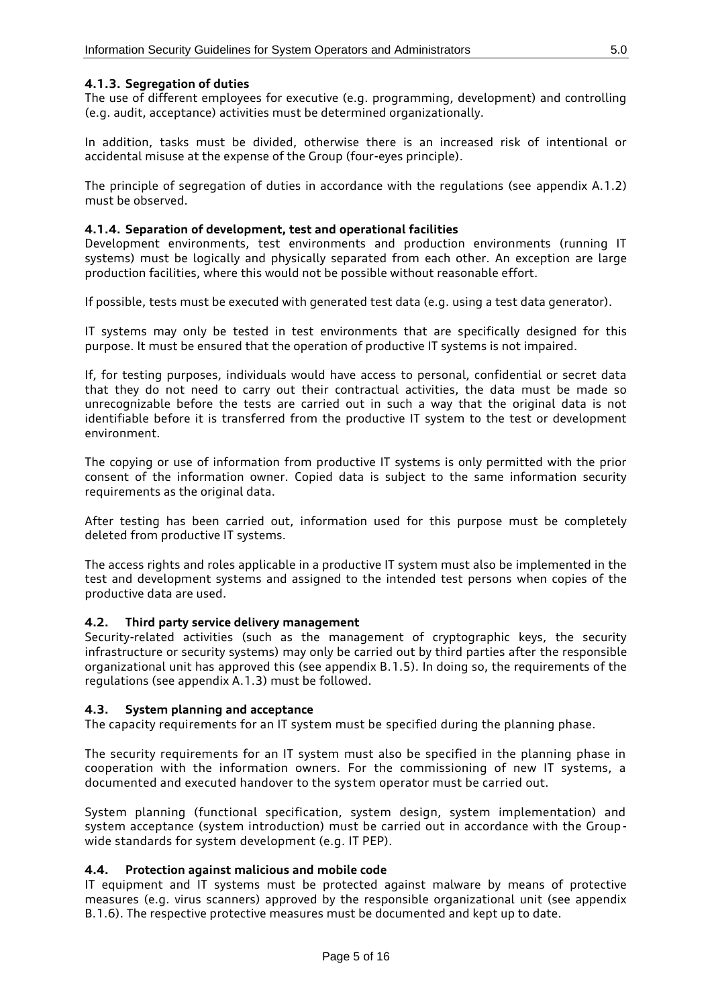#### <span id="page-4-0"></span>**4.1.3. Segregation of duties**

The use of different employees for executive (e.g. programming, development) and controlling (e.g. audit, acceptance) activities must be determined organizationally.

In addition, tasks must be divided, otherwise there is an increased risk of intentional or accidental misuse at the expense of the Group (four-eyes principle).

The principle of segregation of duties in accordance with the regulations (see appendix A.1.2) must be observed.

#### <span id="page-4-1"></span>**4.1.4. Separation of development, test and operational facilities**

Development environments, test environments and production environments (running IT systems) must be logically and physically separated from each other. An exception are large production facilities, where this would not be possible without reasonable effort.

If possible, tests must be executed with generated test data (e.g. using a test data generator).

IT systems may only be tested in test environments that are specifically designed for this purpose. It must be ensured that the operation of productive IT systems is not impaired.

If, for testing purposes, individuals would have access to personal, confidential or secret data that they do not need to carry out their contractual activities, the data must be made so unrecognizable before the tests are carried out in such a way that the original data is not identifiable before it is transferred from the productive IT system to the test or development environment.

The copying or use of information from productive IT systems is only permitted with the prior consent of the information owner. Copied data is subject to the same information security requirements as the original data.

After testing has been carried out, information used for this purpose must be completely deleted from productive IT systems.

The access rights and roles applicable in a productive IT system must also be implemented in the test and development systems and assigned to the intended test persons when copies of the productive data are used.

#### <span id="page-4-2"></span>**4.2. Third party service delivery management**

Security-related activities (such as the management of cryptographic keys, the security infrastructure or security systems) may only be carried out by third parties after the responsible organizational unit has approved this (see appendix B.1.5). In doing so, the requirements of the regulations (see appendix A.1.3) must be followed.

#### <span id="page-4-3"></span>**4.3. System planning and acceptance**

The capacity requirements for an IT system must be specified during the planning phase.

The security requirements for an IT system must also be specified in the planning phase in cooperation with the information owners. For the commissioning of new IT systems, a documented and executed handover to the system operator must be carried out.

System planning (functional specification, system design, system implementation) and system acceptance (system introduction) must be carried out in accordance with the Groupwide standards for system development (e.g. IT PEP).

#### <span id="page-4-4"></span>**4.4. Protection against malicious and mobile code**

IT equipment and IT systems must be protected against malware by means of protective measures (e.g. virus scanners) approved by the responsible organizational unit (see appendix B.1.6). The respective protective measures must be documented and kept up to date.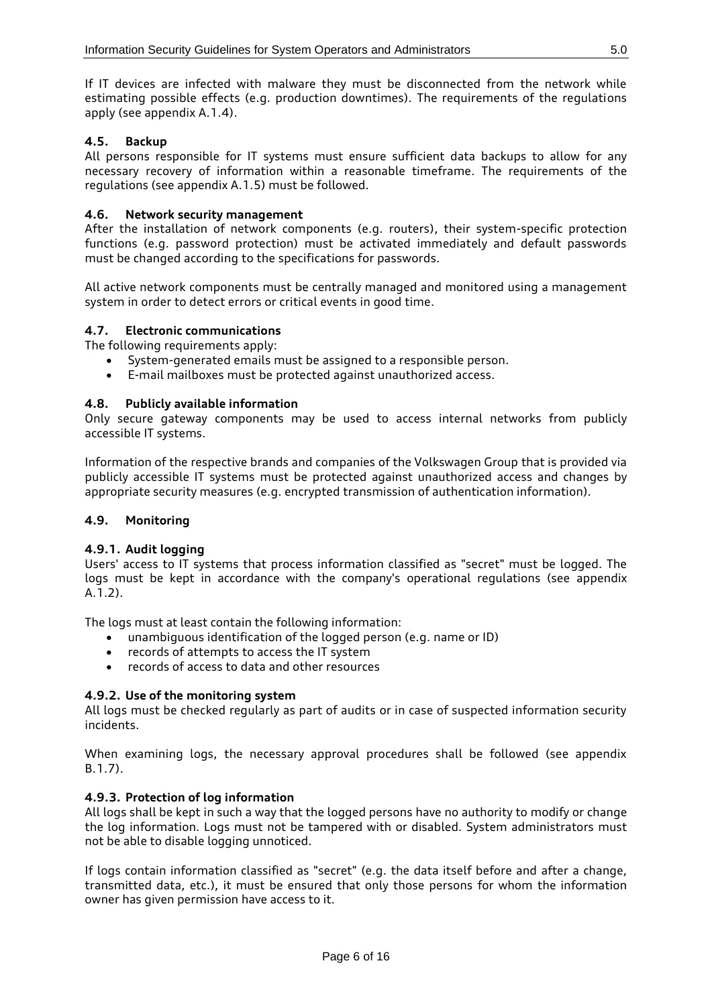If IT devices are infected with malware they must be disconnected from the network while estimating possible effects (e.g. production downtimes). The requirements of the regulations apply (see appendix A.1.4).

### <span id="page-5-0"></span>**4.5. Backup**

All persons responsible for IT systems must ensure sufficient data backups to allow for any necessary recovery of information within a reasonable timeframe. The requirements of the regulations (see appendix A.1.5) must be followed.

#### <span id="page-5-1"></span>**4.6. Network security management**

After the installation of network components (e.g. routers), their system-specific protection functions (e.g. password protection) must be activated immediately and default passwords must be changed according to the specifications for passwords.

All active network components must be centrally managed and monitored using a management system in order to detect errors or critical events in good time.

#### <span id="page-5-2"></span>**4.7. Electronic communications**

The following requirements apply:

- System-generated emails must be assigned to a responsible person.
- E-mail mailboxes must be protected against unauthorized access.

#### <span id="page-5-3"></span>**4.8. Publicly available information**

Only secure gateway components may be used to access internal networks from publicly accessible IT systems.

Information of the respective brands and companies of the Volkswagen Group that is provided via publicly accessible IT systems must be protected against unauthorized access and changes by appropriate security measures (e.g. encrypted transmission of authentication information).

#### <span id="page-5-5"></span><span id="page-5-4"></span>**4.9. Monitoring**

#### **4.9.1. Audit logging**

Users' access to IT systems that process information classified as "secret" must be logged. The logs must be kept in accordance with the company's operational regulations (see appendix A.1.2).

The logs must at least contain the following information:

- unambiguous identification of the logged person (e.g. name or ID)
- records of attempts to access the IT system
- records of access to data and other resources

#### <span id="page-5-6"></span>**4.9.2. Use of the monitoring system**

All logs must be checked regularly as part of audits or in case of suspected information security incidents.

When examining logs, the necessary approval procedures shall be followed (see appendix B.1.7).

#### <span id="page-5-7"></span>**4.9.3. Protection of log information**

All logs shall be kept in such a way that the logged persons have no authority to modify or change the log information. Logs must not be tampered with or disabled. System administrators must not be able to disable logging unnoticed.

If logs contain information classified as "secret" (e.g. the data itself before and after a change, transmitted data, etc.), it must be ensured that only those persons for whom the information owner has given permission have access to it.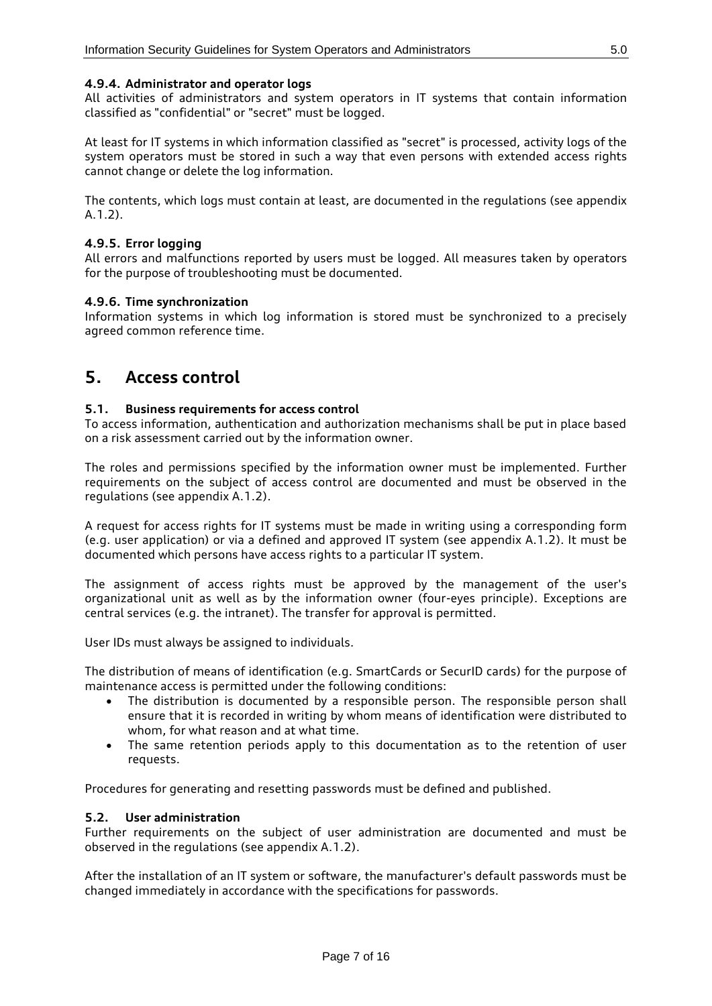#### <span id="page-6-0"></span>**4.9.4. Administrator and operator logs**

All activities of administrators and system operators in IT systems that contain information classified as "confidential" or "secret" must be logged.

At least for IT systems in which information classified as "secret" is processed, activity logs of the system operators must be stored in such a way that even persons with extended access rights cannot change or delete the log information.

The contents, which logs must contain at least, are documented in the regulations (see appendix A.1.2).

#### <span id="page-6-1"></span>**4.9.5. Error logging**

All errors and malfunctions reported by users must be logged. All measures taken by operators for the purpose of troubleshooting must be documented.

#### <span id="page-6-2"></span>**4.9.6. Time synchronization**

<span id="page-6-3"></span>Information systems in which log information is stored must be synchronized to a precisely agreed common reference time.

### **5. Access control**

#### <span id="page-6-4"></span>**5.1. Business requirements for access control**

To access information, authentication and authorization mechanisms shall be put in place based on a risk assessment carried out by the information owner.

The roles and permissions specified by the information owner must be implemented. Further requirements on the subject of access control are documented and must be observed in the regulations (see appendix A.1.2).

A request for access rights for IT systems must be made in writing using a corresponding form (e.g. user application) or via a defined and approved IT system (see appendix A.1.2). It must be documented which persons have access rights to a particular IT system.

The assignment of access rights must be approved by the management of the user's organizational unit as well as by the information owner (four-eyes principle). Exceptions are central services (e.g. the intranet). The transfer for approval is permitted.

User IDs must always be assigned to individuals.

The distribution of means of identification (e.g. SmartCards or SecurID cards) for the purpose of maintenance access is permitted under the following conditions:

- The distribution is documented by a responsible person. The responsible person shall ensure that it is recorded in writing by whom means of identification were distributed to whom, for what reason and at what time.
- The same retention periods apply to this documentation as to the retention of user requests.

Procedures for generating and resetting passwords must be defined and published.

#### <span id="page-6-5"></span>**5.2. User administration**

Further requirements on the subject of user administration are documented and must be observed in the regulations (see appendix A.1.2).

After the installation of an IT system or software, the manufacturer's default passwords must be changed immediately in accordance with the specifications for passwords.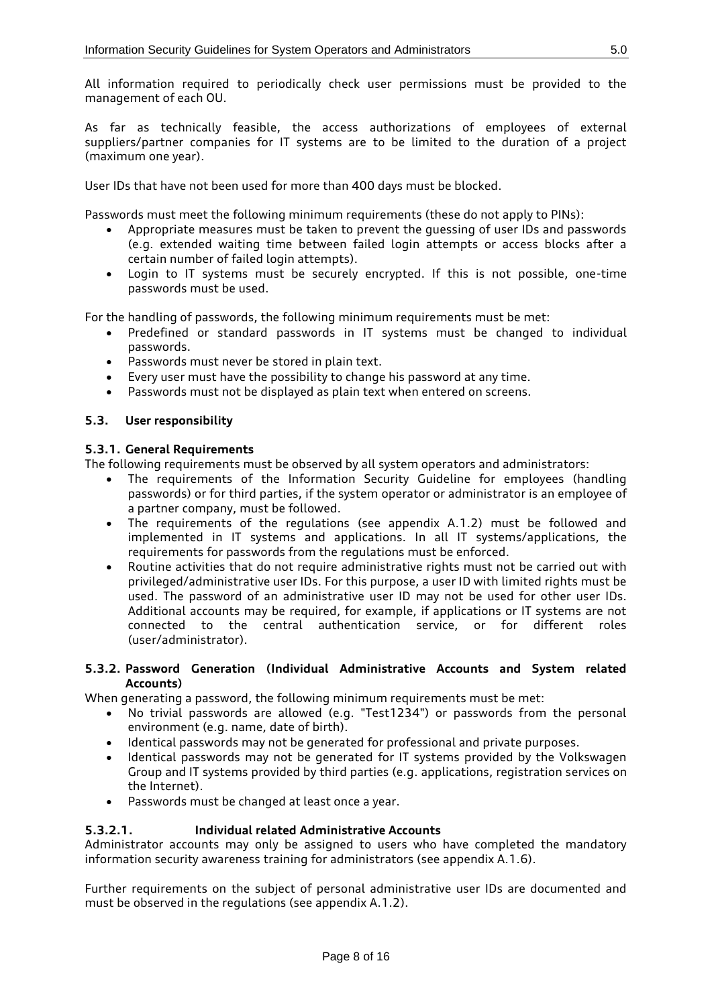All information required to periodically check user permissions must be provided to the management of each OU.

As far as technically feasible, the access authorizations of employees of external suppliers/partner companies for IT systems are to be limited to the duration of a project (maximum one year).

User IDs that have not been used for more than 400 days must be blocked.

Passwords must meet the following minimum requirements (these do not apply to PINs):

- Appropriate measures must be taken to prevent the guessing of user IDs and passwords (e.g. extended waiting time between failed login attempts or access blocks after a certain number of failed login attempts).
- Login to IT systems must be securely encrypted. If this is not possible, one-time passwords must be used.

For the handling of passwords, the following minimum requirements must be met:

- Predefined or standard passwords in IT systems must be changed to individual passwords.
- Passwords must never be stored in plain text.
- Every user must have the possibility to change his password at any time.
- Passwords must not be displayed as plain text when entered on screens.

#### <span id="page-7-1"></span><span id="page-7-0"></span>**5.3. User responsibility**

#### **5.3.1. General Requirements**

The following requirements must be observed by all system operators and administrators:

- The requirements of the Information Security Guideline for employees (handling passwords) or for third parties, if the system operator or administrator is an employee of a partner company, must be followed.
- The requirements of the regulations (see appendix A.1.2) must be followed and implemented in IT systems and applications. In all IT systems/applications, the requirements for passwords from the regulations must be enforced.
- Routine activities that do not require administrative rights must not be carried out with privileged/administrative user IDs. For this purpose, a user ID with limited rights must be used. The password of an administrative user ID may not be used for other user IDs. Additional accounts may be required, for example, if applications or IT systems are not connected to the central authentication service, or for different roles (user/administrator).

#### <span id="page-7-2"></span>**5.3.2. Password Generation (Individual Administrative Accounts and System related Accounts)**

When generating a password, the following minimum requirements must be met:

- No trivial passwords are allowed (e.g. "Test1234") or passwords from the personal environment (e.g. name, date of birth).
- Identical passwords may not be generated for professional and private purposes.
- Identical passwords may not be generated for IT systems provided by the Volkswagen Group and IT systems provided by third parties (e.g. applications, registration services on the Internet).
- Passwords must be changed at least once a year.

#### <span id="page-7-3"></span>**5.3.2.1. Individual related Administrative Accounts**

Administrator accounts may only be assigned to users who have completed the mandatory information security awareness training for administrators (see appendix A.1.6).

Further requirements on the subject of personal administrative user IDs are documented and must be observed in the regulations (see appendix A.1.2).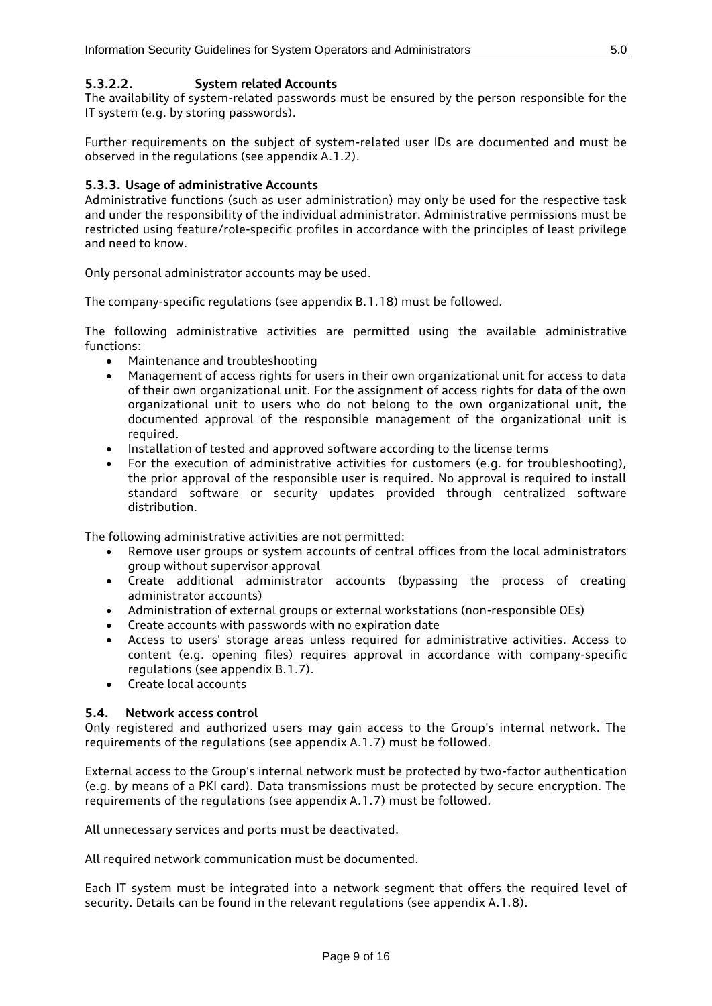#### <span id="page-8-0"></span>**5.3.2.2. System related Accounts**

The availability of system-related passwords must be ensured by the person responsible for the IT system (e.g. by storing passwords).

Further requirements on the subject of system-related user IDs are documented and must be observed in the regulations (see appendix A.1.2).

#### <span id="page-8-1"></span>**5.3.3. Usage of administrative Accounts**

Administrative functions (such as user administration) may only be used for the respective task and under the responsibility of the individual administrator. Administrative permissions must be restricted using feature/role-specific profiles in accordance with the principles of least privilege and need to know.

Only personal administrator accounts may be used.

The company-specific regulations (see appendix B.1.18) must be followed.

The following administrative activities are permitted using the available administrative functions:

- Maintenance and troubleshooting
- Management of access rights for users in their own organizational unit for access to data of their own organizational unit. For the assignment of access rights for data of the own organizational unit to users who do not belong to the own organizational unit, the documented approval of the responsible management of the organizational unit is required.
- Installation of tested and approved software according to the license terms
- For the execution of administrative activities for customers (e.g. for troubleshooting), the prior approval of the responsible user is required. No approval is required to install standard software or security updates provided through centralized software distribution.

The following administrative activities are not permitted:

- Remove user groups or system accounts of central offices from the local administrators group without supervisor approval
- Create additional administrator accounts (bypassing the process of creating administrator accounts)
- Administration of external groups or external workstations (non-responsible OEs)
- Create accounts with passwords with no expiration date
- Access to users' storage areas unless required for administrative activities. Access to content (e.g. opening files) requires approval in accordance with company-specific regulations (see appendix B.1.7).
- Create local accounts

#### <span id="page-8-2"></span>**5.4. Network access control**

Only registered and authorized users may gain access to the Group's internal network. The requirements of the regulations (see appendix A.1.7) must be followed.

External access to the Group's internal network must be protected by two-factor authentication (e.g. by means of a PKI card). Data transmissions must be protected by secure encryption. The requirements of the regulations (see appendix A.1.7) must be followed.

All unnecessary services and ports must be deactivated.

All required network communication must be documented.

Each IT system must be integrated into a network segment that offers the required level of security. Details can be found in the relevant regulations (see appendix A.1.8).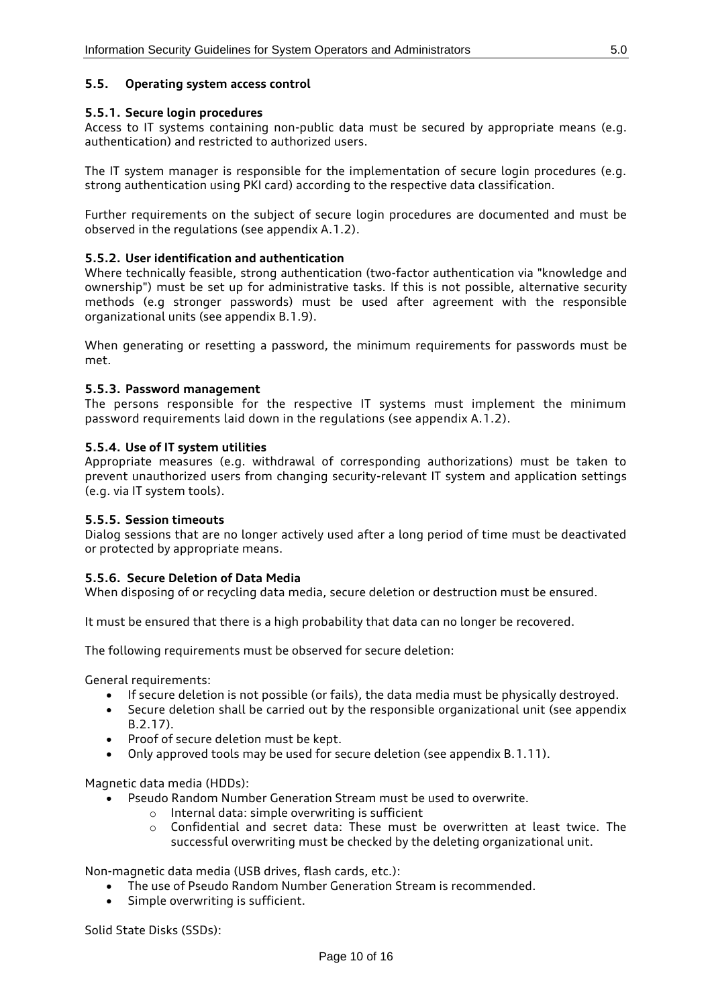#### <span id="page-9-0"></span>**5.5. Operating system access control**

#### <span id="page-9-1"></span>**5.5.1. Secure login procedures**

Access to IT systems containing non-public data must be secured by appropriate means (e.g. authentication) and restricted to authorized users.

The IT system manager is responsible for the implementation of secure login procedures (e.g. strong authentication using PKI card) according to the respective data classification.

Further requirements on the subject of secure login procedures are documented and must be observed in the regulations (see appendix A.1.2).

#### <span id="page-9-2"></span>**5.5.2. User identification and authentication**

Where technically feasible, strong authentication (two-factor authentication via "knowledge and ownership") must be set up for administrative tasks. If this is not possible, alternative security methods (e.g stronger passwords) must be used after agreement with the responsible organizational units (see appendix B.1.9).

When generating or resetting a password, the minimum requirements for passwords must be met.

#### <span id="page-9-3"></span>**5.5.3. Password management**

The persons responsible for the respective IT systems must implement the minimum password requirements laid down in the regulations (see appendix A.1.2).

#### <span id="page-9-4"></span>**5.5.4. Use of IT system utilities**

Appropriate measures (e.g. withdrawal of corresponding authorizations) must be taken to prevent unauthorized users from changing security-relevant IT system and application settings (e.g. via IT system tools).

#### <span id="page-9-5"></span>**5.5.5. Session timeouts**

Dialog sessions that are no longer actively used after a long period of time must be deactivated or protected by appropriate means.

#### <span id="page-9-6"></span>**5.5.6. Secure Deletion of Data Media**

When disposing of or recycling data media, secure deletion or destruction must be ensured.

It must be ensured that there is a high probability that data can no longer be recovered.

The following requirements must be observed for secure deletion:

General requirements:

- If secure deletion is not possible (or fails), the data media must be physically destroyed.
- Secure deletion shall be carried out by the responsible organizational unit (see appendix B.2.17).
- Proof of secure deletion must be kept.
- Only approved tools may be used for secure deletion (see appendix B.1.11).

Magnetic data media (HDDs):

- Pseudo Random Number Generation Stream must be used to overwrite.
	- o Internal data: simple overwriting is sufficient
	- o Confidential and secret data: These must be overwritten at least twice. The successful overwriting must be checked by the deleting organizational unit.

Non-magnetic data media (USB drives, flash cards, etc.):

- The use of Pseudo Random Number Generation Stream is recommended.
- Simple overwriting is sufficient.

Solid State Disks (SSDs):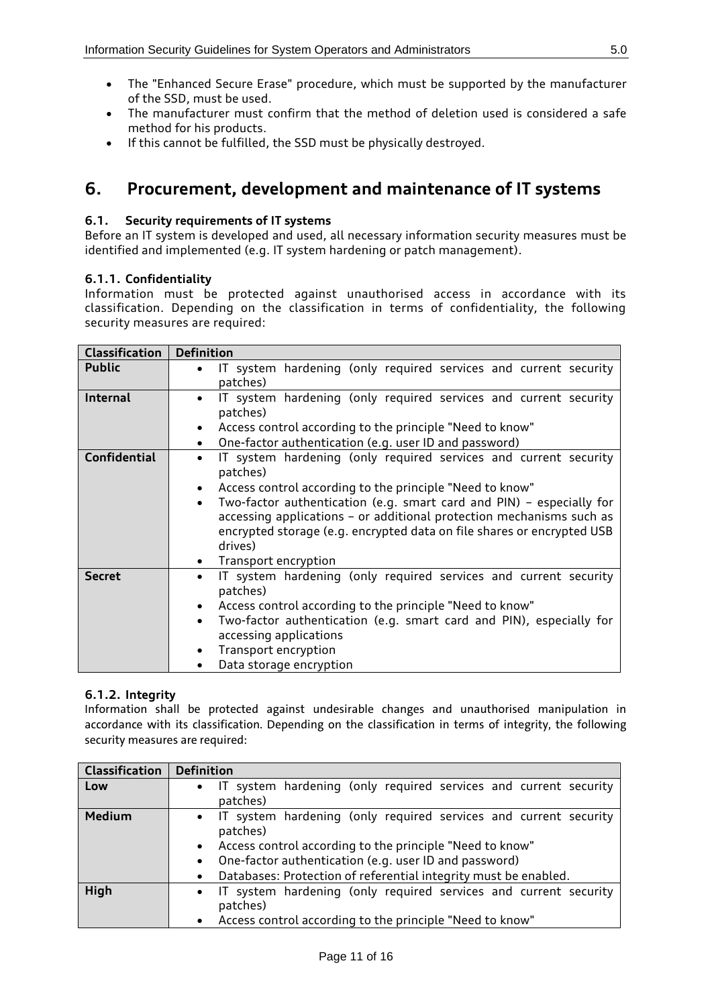- The "Enhanced Secure Erase" procedure, which must be supported by the manufacturer of the SSD, must be used.
- The manufacturer must confirm that the method of deletion used is considered a safe method for his products.
- <span id="page-10-0"></span>• If this cannot be fulfilled, the SSD must be physically destroyed.

### **6. Procurement, development and maintenance of IT systems**

### <span id="page-10-1"></span>**6.1. Security requirements of IT systems**

Before an IT system is developed and used, all necessary information security measures must be identified and implemented (e.g. IT system hardening or patch management).

#### <span id="page-10-2"></span>**6.1.1. Confidentiality**

Information must be protected against unauthorised access in accordance with its classification. Depending on the classification in terms of confidentiality, the following security measures are required:

| <b>Classification</b>                                                            | <b>Definition</b>                                                                                                                                                                                                                              |  |  |  |  |  |
|----------------------------------------------------------------------------------|------------------------------------------------------------------------------------------------------------------------------------------------------------------------------------------------------------------------------------------------|--|--|--|--|--|
| <b>Public</b>                                                                    | IT system hardening (only required services and current security<br>$\bullet$<br>patches)                                                                                                                                                      |  |  |  |  |  |
| <b>Internal</b>                                                                  | IT system hardening (only required services and current security<br>$\bullet$<br>patches)                                                                                                                                                      |  |  |  |  |  |
|                                                                                  | Access control according to the principle "Need to know"<br>$\bullet$                                                                                                                                                                          |  |  |  |  |  |
|                                                                                  | One-factor authentication (e.g. user ID and password)<br>$\bullet$                                                                                                                                                                             |  |  |  |  |  |
| <b>Confidential</b>                                                              | IT system hardening (only required services and current security<br>$\bullet$<br>patches)                                                                                                                                                      |  |  |  |  |  |
|                                                                                  | Access control according to the principle "Need to know"<br>$\bullet$                                                                                                                                                                          |  |  |  |  |  |
|                                                                                  | Two-factor authentication (e.g. smart card and PIN) - especially for<br>$\bullet$<br>accessing applications - or additional protection mechanisms such as<br>encrypted storage (e.g. encrypted data on file shares or encrypted USB<br>drives) |  |  |  |  |  |
|                                                                                  | Transport encryption                                                                                                                                                                                                                           |  |  |  |  |  |
| <b>Secret</b>                                                                    | IT system hardening (only required services and current security<br>$\bullet$<br>patches)                                                                                                                                                      |  |  |  |  |  |
|                                                                                  | Access control according to the principle "Need to know"<br>$\bullet$                                                                                                                                                                          |  |  |  |  |  |
| Two-factor authentication (e.g. smart card and PIN), especially for<br>$\bullet$ |                                                                                                                                                                                                                                                |  |  |  |  |  |
|                                                                                  | accessing applications                                                                                                                                                                                                                         |  |  |  |  |  |
|                                                                                  | Transport encryption<br>$\bullet$                                                                                                                                                                                                              |  |  |  |  |  |
|                                                                                  | Data storage encryption                                                                                                                                                                                                                        |  |  |  |  |  |

### <span id="page-10-3"></span>**6.1.2. Integrity**

Information shall be protected against undesirable changes and unauthorised manipulation in accordance with its classification. Depending on the classification in terms of integrity, the following security measures are required:

| Classification | <b>Definition</b>                                                                                                                                                                                                                                                                                  |
|----------------|----------------------------------------------------------------------------------------------------------------------------------------------------------------------------------------------------------------------------------------------------------------------------------------------------|
| Low            | IT system hardening (only required services and current security<br>$\bullet$<br>patches)                                                                                                                                                                                                          |
| <b>Medium</b>  | • IT system hardening (only required services and current security<br>patches)<br>• Access control according to the principle "Need to know"<br>One-factor authentication (e.g. user ID and password)<br>$\bullet$<br>Databases: Protection of referential integrity must be enabled.<br>$\bullet$ |
| High           | • IT system hardening (only required services and current security<br>patches)<br>Access control according to the principle "Need to know"<br>$\bullet$                                                                                                                                            |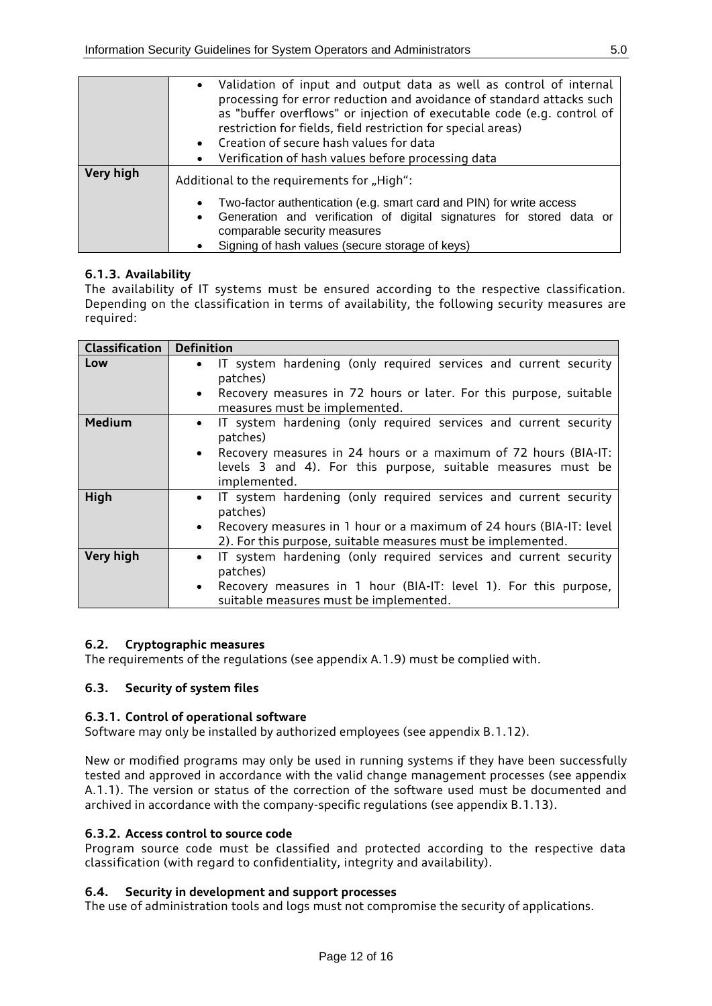|           | Validation of input and output data as well as control of internal<br>$\bullet$<br>processing for error reduction and avoidance of standard attacks such<br>as "buffer overflows" or injection of executable code (e.g. control of<br>restriction for fields, field restriction for special areas)<br>• Creation of secure hash values for data<br>Verification of hash values before processing data<br>$\bullet$ |  |  |  |  |
|-----------|--------------------------------------------------------------------------------------------------------------------------------------------------------------------------------------------------------------------------------------------------------------------------------------------------------------------------------------------------------------------------------------------------------------------|--|--|--|--|
| Very high | Additional to the requirements for "High":<br>Two-factor authentication (e.g. smart card and PIN) for write access<br>$\bullet$<br>Generation and verification of digital signatures for stored data or<br>$\bullet$<br>comparable security measures<br>Signing of hash values (secure storage of keys)<br>$\bullet$                                                                                               |  |  |  |  |

### <span id="page-11-0"></span>**6.1.3. Availability**

The availability of IT systems must be ensured according to the respective classification. Depending on the classification in terms of availability, the following security measures are required:

| <b>Classification</b> | <b>Definition</b>                                                                                                                                 |  |  |  |
|-----------------------|---------------------------------------------------------------------------------------------------------------------------------------------------|--|--|--|
| Low                   | IT system hardening (only required services and current security<br>$\bullet$<br>patches)                                                         |  |  |  |
|                       | • Recovery measures in 72 hours or later. For this purpose, suitable<br>measures must be implemented.                                             |  |  |  |
| <b>Medium</b>         | IT system hardening (only required services and current security<br>$\bullet$<br>patches)                                                         |  |  |  |
|                       | • Recovery measures in 24 hours or a maximum of 72 hours (BIA-IT:<br>levels 3 and 4). For this purpose, suitable measures must be<br>implemented. |  |  |  |
| High                  | IT system hardening (only required services and current security<br>$\bullet$<br>patches)                                                         |  |  |  |
|                       | • Recovery measures in 1 hour or a maximum of 24 hours (BIA-IT: level<br>2). For this purpose, suitable measures must be implemented.             |  |  |  |
| Very high             | IT system hardening (only required services and current security<br>$\bullet$<br>patches)                                                         |  |  |  |
|                       | • Recovery measures in 1 hour (BIA-IT: level 1). For this purpose,<br>suitable measures must be implemented.                                      |  |  |  |

### <span id="page-11-1"></span>**6.2. Cryptographic measures**

<span id="page-11-2"></span>The requirements of the regulations (see appendix A.1.9) must be complied with.

### **6.3. Security of system files**

#### <span id="page-11-3"></span>**6.3.1. Control of operational software**

Software may only be installed by authorized employees (see appendix B.1.12).

New or modified programs may only be used in running systems if they have been successfully tested and approved in accordance with the valid change management processes (see appendix A.1.1). The version or status of the correction of the software used must be documented and archived in accordance with the company-specific regulations (see appendix B.1.13).

#### <span id="page-11-4"></span>**6.3.2. Access control to source code**

Program source code must be classified and protected according to the respective data classification (with regard to confidentiality, integrity and availability).

#### <span id="page-11-5"></span>**6.4. Security in development and support processes**

The use of administration tools and logs must not compromise the security of applications.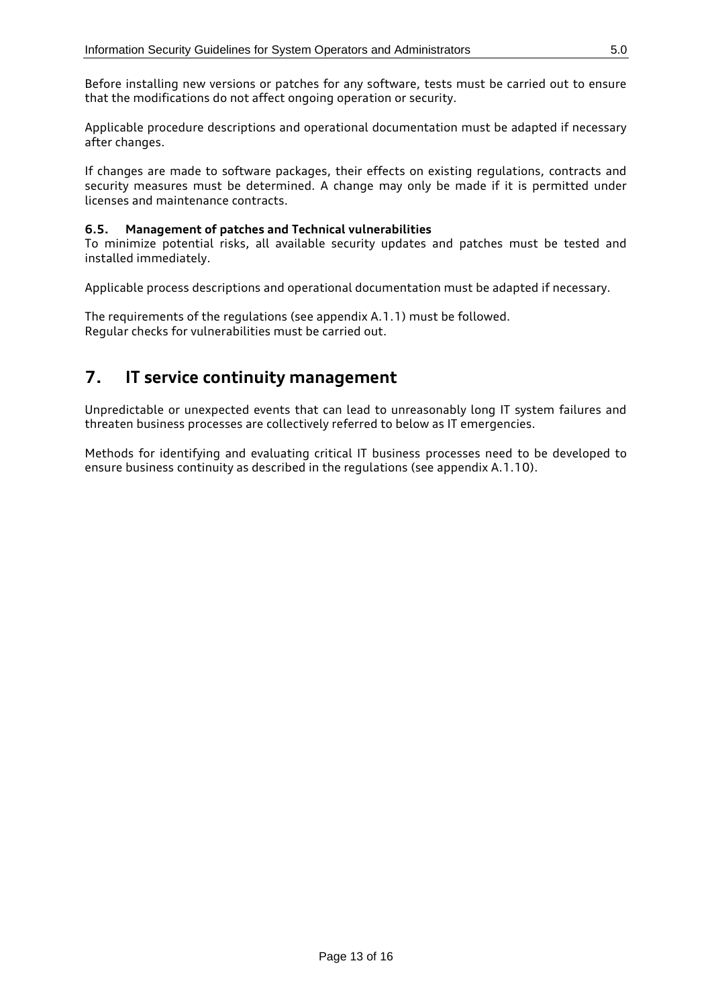Before installing new versions or patches for any software, tests must be carried out to ensure that the modifications do not affect ongoing operation or security.

Applicable procedure descriptions and operational documentation must be adapted if necessary after changes.

If changes are made to software packages, their effects on existing regulations, contracts and security measures must be determined. A change may only be made if it is permitted under licenses and maintenance contracts.

#### <span id="page-12-0"></span>**6.5. Management of patches and Technical vulnerabilities**

To minimize potential risks, all available security updates and patches must be tested and installed immediately.

Applicable process descriptions and operational documentation must be adapted if necessary.

The requirements of the regulations (see appendix A.1.1) must be followed. Regular checks for vulnerabilities must be carried out.

## <span id="page-12-1"></span>**7. IT service continuity management**

Unpredictable or unexpected events that can lead to unreasonably long IT system failures and threaten business processes are collectively referred to below as IT emergencies.

Methods for identifying and evaluating critical IT business processes need to be developed to ensure business continuity as described in the regulations (see appendix A.1.10).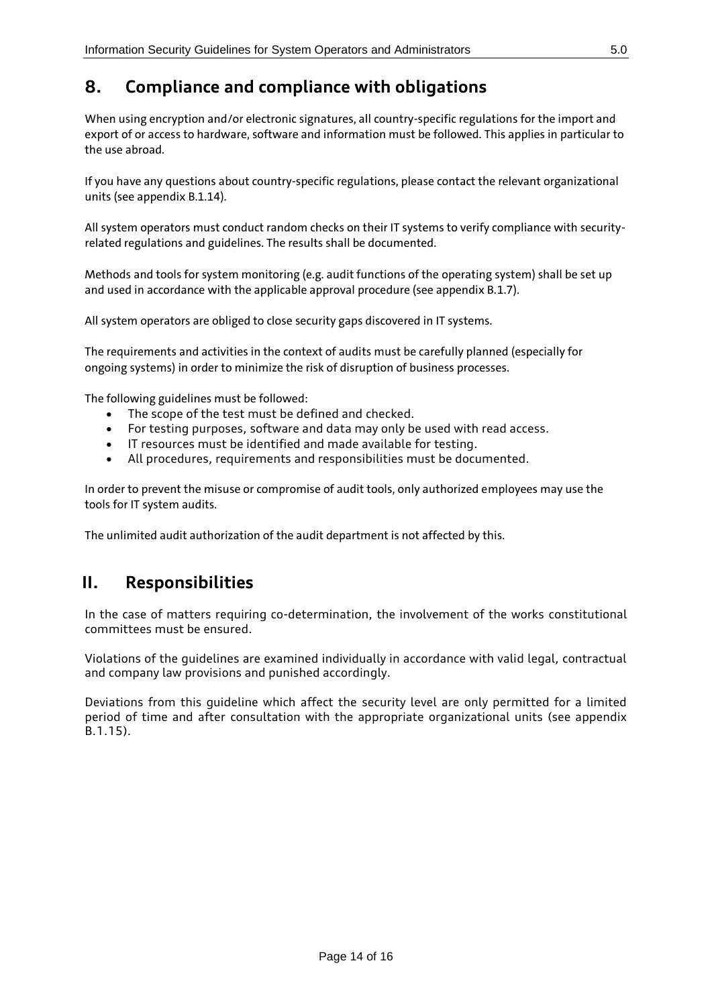# <span id="page-13-0"></span>**8. Compliance and compliance with obligations**

When using encryption and/or electronic signatures, all country-specific regulations for the import and export of or access to hardware, software and information must be followed. This applies in particular to the use abroad.

If you have any questions about country-specific regulations, please contact the relevant organizational units (see appendix B.1.14).

All system operators must conduct random checks on their IT systems to verify compliance with securityrelated regulations and guidelines. The results shall be documented.

Methods and tools for system monitoring (e.g. audit functions of the operating system) shall be set up and used in accordance with the applicable approval procedure (see appendix B.1.7).

All system operators are obliged to close security gaps discovered in IT systems.

The requirements and activities in the context of audits must be carefully planned (especially for ongoing systems) in order to minimize the risk of disruption of business processes.

The following guidelines must be followed:

- The scope of the test must be defined and checked.
- For testing purposes, software and data may only be used with read access.
- IT resources must be identified and made available for testing.
- All procedures, requirements and responsibilities must be documented.

In order to prevent the misuse or compromise of audit tools, only authorized employees may use the tools for IT system audits.

<span id="page-13-1"></span>The unlimited audit authorization of the audit department is not affected by this.

## **II. Responsibilities**

In the case of matters requiring co-determination, the involvement of the works constitutional committees must be ensured.

Violations of the guidelines are examined individually in accordance with valid legal, contractual and company law provisions and punished accordingly.

Deviations from this guideline which affect the security level are only permitted for a limited period of time and after consultation with the appropriate organizational units (see appendix B.1.15).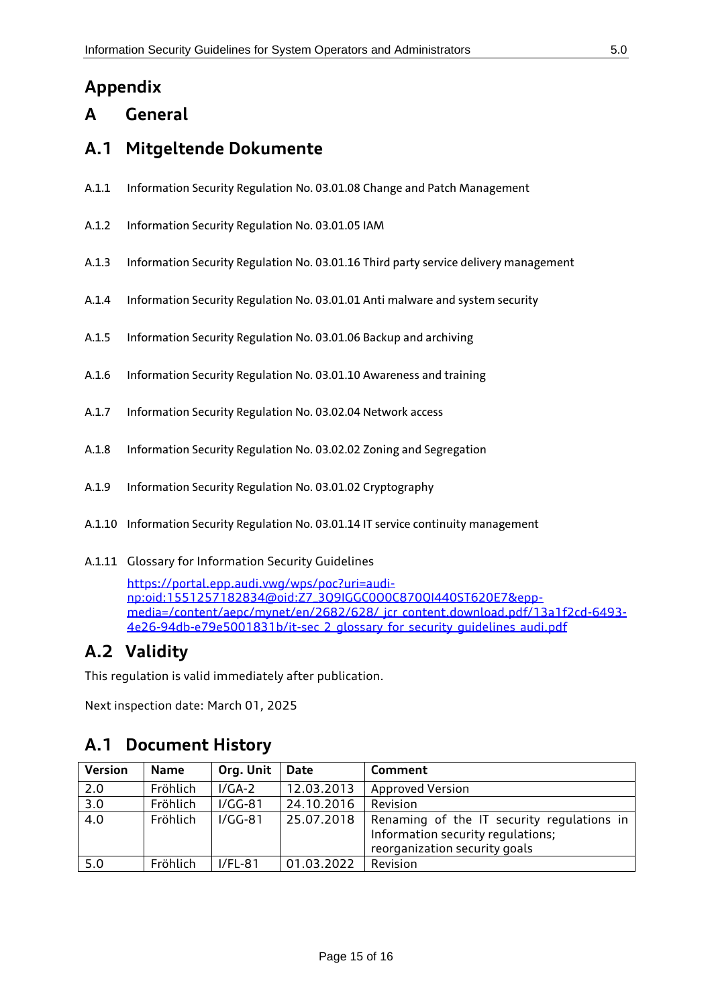# <span id="page-14-0"></span>**Appendix**

## <span id="page-14-1"></span>**A General**

## <span id="page-14-2"></span>**A.1 Mitgeltende Dokumente**

- A.1.1 Information Security Regulation No. 03.01.08 Change and Patch Management
- A.1.2 Information Security Regulation No. 03.01.05 IAM
- A.1.3 Information Security Regulation No. 03.01.16 Third party service delivery management
- A.1.4 Information Security Regulation No. 03.01.01 Anti malware and system security
- A.1.5 Information Security Regulation No. 03.01.06 Backup and archiving
- A.1.6 Information Security Regulation No. 03.01.10 Awareness and training
- A.1.7 Information Security Regulation No. 03.02.04 Network access
- A.1.8 Information Security Regulation No. 03.02.02 Zoning and Segregation
- A.1.9 Information Security Regulation No. 03.01.02 Cryptography
- A.1.10 Information Security Regulation No. 03.01.14 IT service continuity management
- A.1.11 Glossary for Information Security Guidelines

[https://portal.epp.audi.vwg/wps/poc?uri=audi](https://portal.epp.audi.vwg/wps/poc?uri=audi-np:oid:1551257182834@oid:Z7_3Q9IGGC0O0C870QI440ST620E7&epp-media=/content/aepc/mynet/en/2682/628/_jcr_content.download.pdf/13a1f2cd-6493-4e26-94db-e79e5001831b/it-sec_2_glossary_for_security_guidelines_audi.pdf)[np:oid:1551257182834@oid:Z7\\_3Q9IGGC0O0C870QI440ST620E7&epp](https://portal.epp.audi.vwg/wps/poc?uri=audi-np:oid:1551257182834@oid:Z7_3Q9IGGC0O0C870QI440ST620E7&epp-media=/content/aepc/mynet/en/2682/628/_jcr_content.download.pdf/13a1f2cd-6493-4e26-94db-e79e5001831b/it-sec_2_glossary_for_security_guidelines_audi.pdf)[media=/content/aepc/mynet/en/2682/628/\\_jcr\\_content.download.pdf/13a1f2cd-6493-](https://portal.epp.audi.vwg/wps/poc?uri=audi-np:oid:1551257182834@oid:Z7_3Q9IGGC0O0C870QI440ST620E7&epp-media=/content/aepc/mynet/en/2682/628/_jcr_content.download.pdf/13a1f2cd-6493-4e26-94db-e79e5001831b/it-sec_2_glossary_for_security_guidelines_audi.pdf) 4e26-94db-e79e5001831b/it-sec\_2\_alossary\_for\_security\_auidelines\_audi.pdf

## <span id="page-14-3"></span>**A.2 Validity**

This regulation is valid immediately after publication.

Next inspection date: March 01, 2025

### <span id="page-14-4"></span>**A.1 Document History**

| <b>Version</b>   | Name     | Org. Unit | <b>Date</b> | Comment                                                                                                          |
|------------------|----------|-----------|-------------|------------------------------------------------------------------------------------------------------------------|
| 2.0              | Fröhlich | $I/GA-2$  | 12.03.2013  | <b>Approved Version</b>                                                                                          |
| $\overline{3.0}$ | Fröhlich | $I/GG-81$ | 24.10.2016  | Revision                                                                                                         |
| $\overline{4.0}$ | Fröhlich | $I/GG-81$ | 25.07.2018  | Renaming of the IT security regulations in<br>Information security regulations;<br>reorganization security goals |
| 5.0              | Fröhlich | $I/FL-81$ | 01.03.2022  | Revision                                                                                                         |